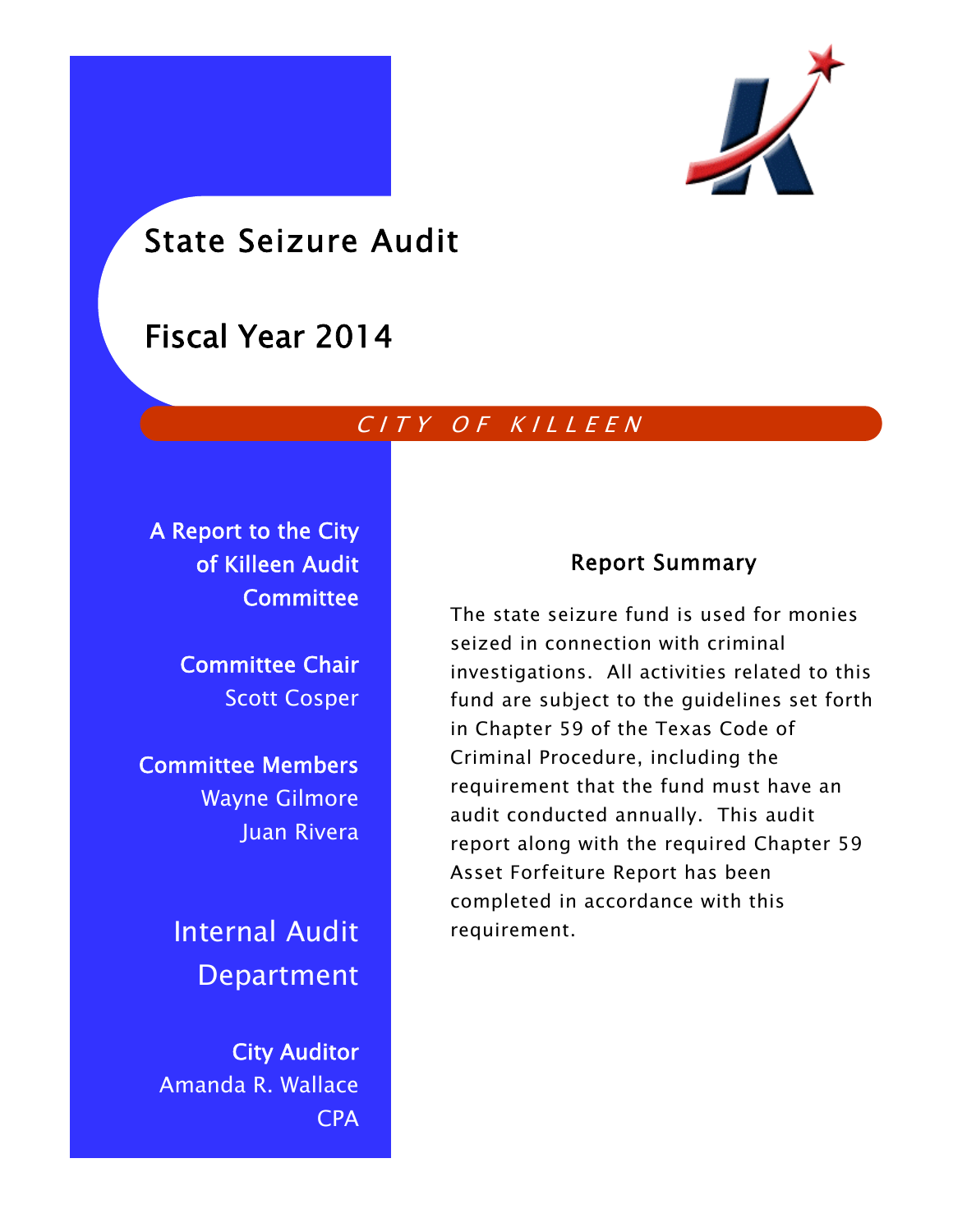

# State Seizure Audit

# Fiscal Year 2014

# CITY OF KILLEEN

A Report to the City of Killeen Audit **Committee** 

> Committee Chair Scott Cosper

Committee Members Wayne Gilmore Juan Rivera

> Internal Audit Department

City Auditor Amanda R. Wallace CPA

## Report Summary

The state seizure fund is used for monies seized in connection with criminal investigations. All activities related to this fund are subject to the guidelines set forth in Chapter 59 of the Texas Code of Criminal Procedure, including the requirement that the fund must have an audit conducted annually. This audit report along with the required Chapter 59 Asset Forfeiture Report has been completed in accordance with this requirement.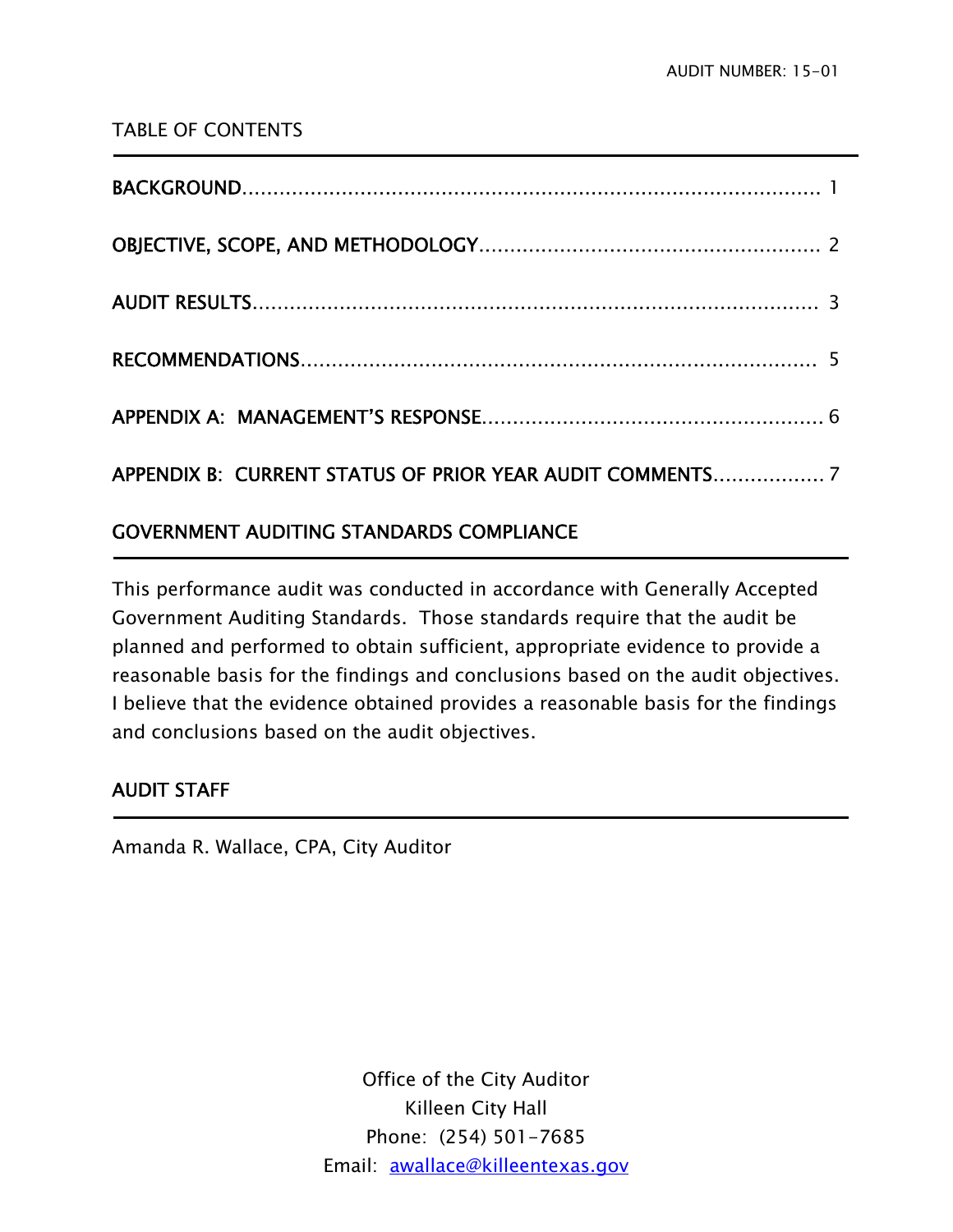## TABLE OF CONTENTS

| <b>GOVERNMENT AUDITING STANDARDS COMPLIANCE</b> |
|-------------------------------------------------|

# This performance audit was conducted in accordance with Generally Accepted Government Auditing Standards. Those standards require that the audit be planned and performed to obtain sufficient, appropriate evidence to provide a reasonable basis for the findings and conclusions based on the audit objectives. I believe that the evidence obtained provides a reasonable basis for the findings and conclusions based on the audit objectives.

## AUDIT STAFF

j

**-**

Amanda R. Wallace, CPA, City Auditor

Office of the City Auditor Killeen City Hall Phone: (254) 501-7685 Email: awallace@killeentexas.gov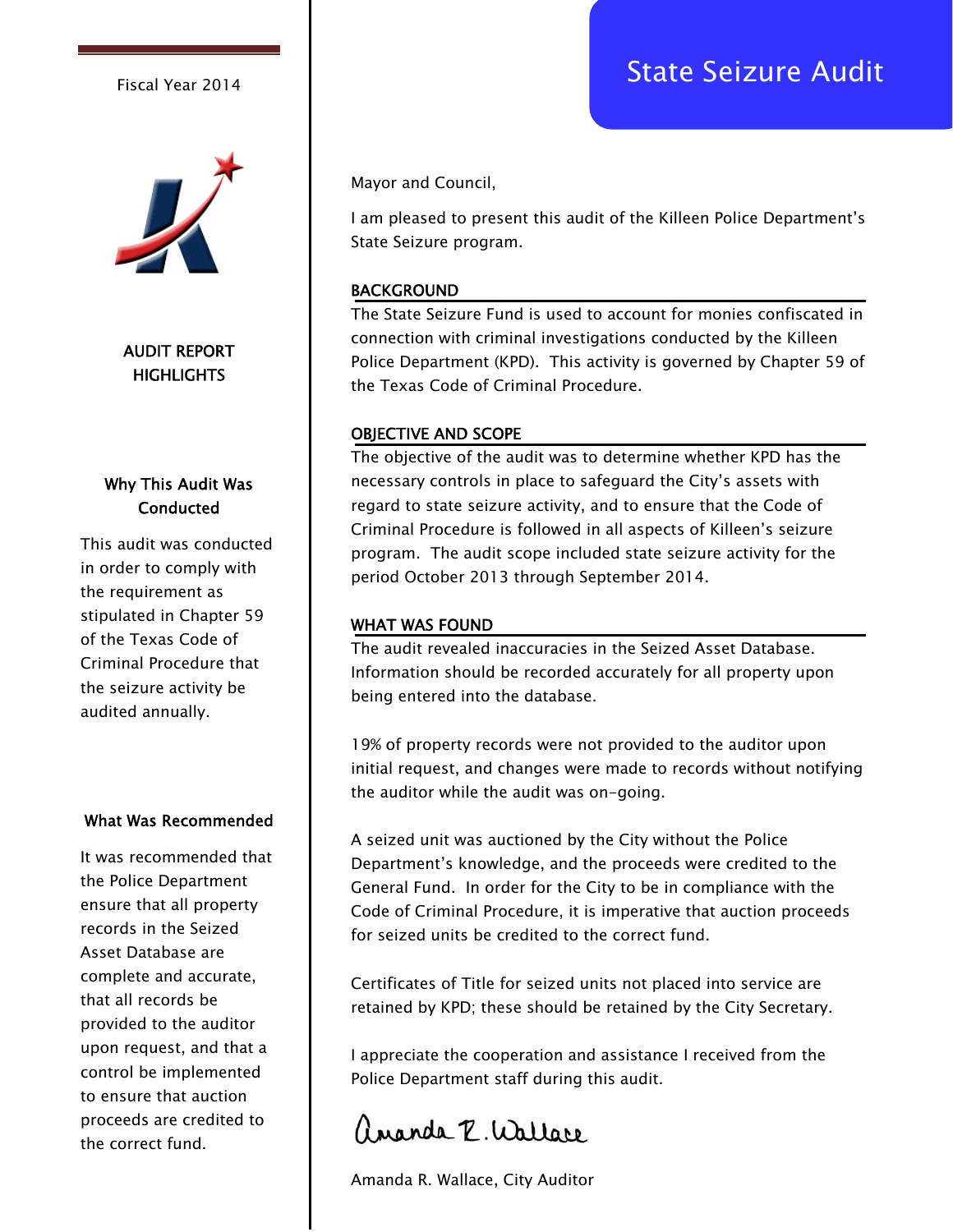

AUDIT REPORT **HIGHLIGHTS** 

#### Why This Audit Was **Conducted**

This audit was conducted in order to comply with the requirement as stipulated in Chapter 59 of the Texas Code of Criminal Procedure that the seizure activity be audited annually.

#### What Was Recommended

It was recommended that the Police Department ensure that all property records in the Seized Asset Database are complete and accurate, that all records be provided to the auditor upon request, and that a control be implemented to ensure that auction proceeds are credited to the correct fund.

Mayor and Council,

I am pleased to present this audit of the Killeen Police Department's State Seizure program.

#### BACKGROUND

The State Seizure Fund is used to account for monies confiscated in connection with criminal investigations conducted by the Killeen Police Department (KPD). This activity is governed by Chapter 59 of the Texas Code of Criminal Procedure.

#### OBJECTIVE AND SCOPE

The objective of the audit was to determine whether KPD has the necessary controls in place to safeguard the City's assets with regard to state seizure activity, and to ensure that the Code of Criminal Procedure is followed in all aspects of Killeen's seizure program. The audit scope included state seizure activity for the period October 2013 through September 2014.

#### WHAT WAS FOUND

The audit revealed inaccuracies in the Seized Asset Database. Information should be recorded accurately for all property upon being entered into the database.

19% of property records were not provided to the auditor upon initial request, and changes were made to records without notifying the auditor while the audit was on-going.

A seized unit was auctioned by the City without the Police Department's knowledge, and the proceeds were credited to the General Fund. In order for the City to be in compliance with the Code of Criminal Procedure, it is imperative that auction proceeds for seized units be credited to the correct fund.

Certificates of Title for seized units not placed into service are retained by KPD; these should be retained by the City Secretary.

I appreciate the cooperation and assistance I received from the Police Department staff during this audit.

angela P. Wallace

Amanda R. Wallace, City Auditor

# Fiscal Year 2014 **Fiscal Year 2014**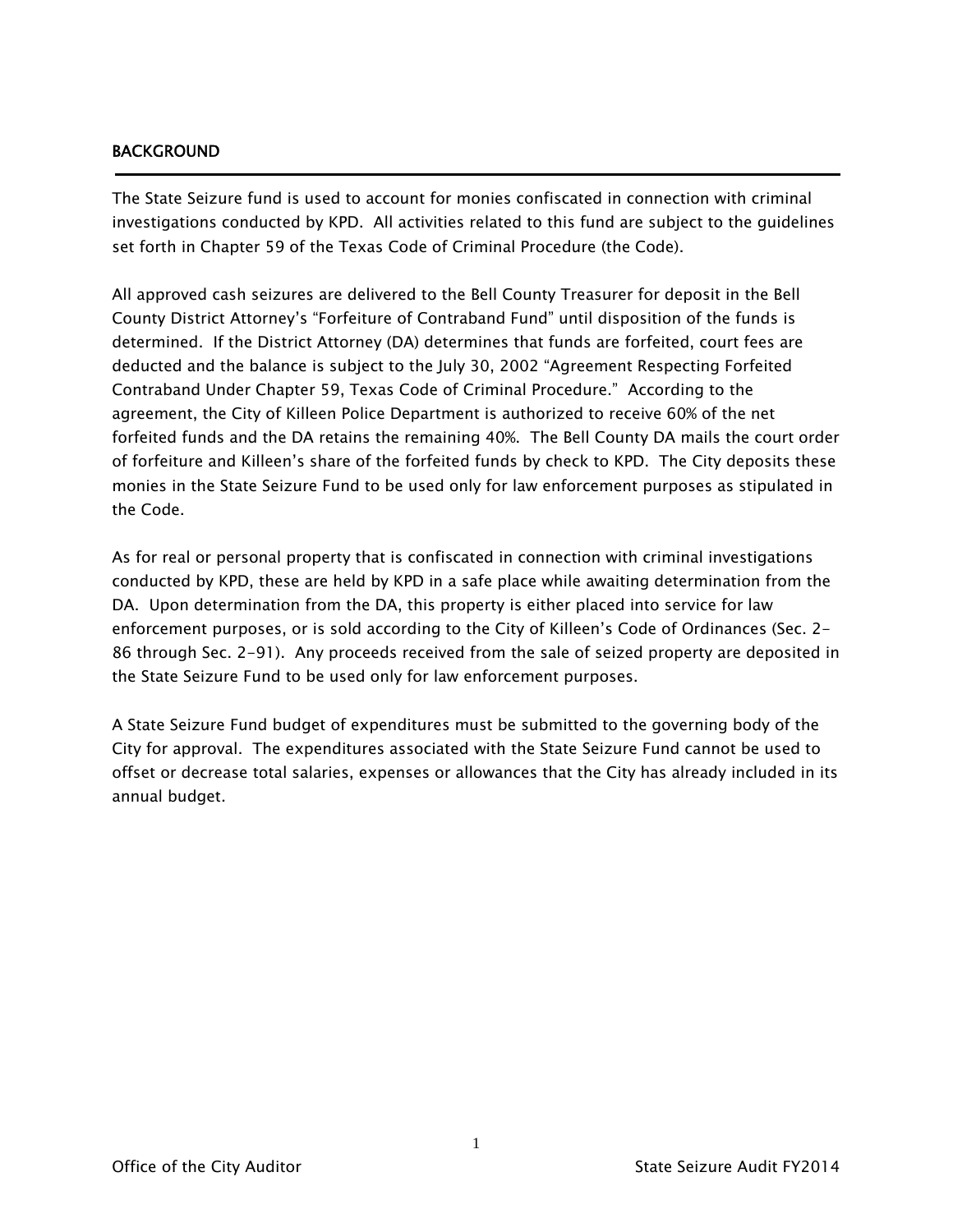#### BACKGROUND

j

The State Seizure fund is used to account for monies confiscated in connection with criminal investigations conducted by KPD. All activities related to this fund are subject to the guidelines set forth in Chapter 59 of the Texas Code of Criminal Procedure (the Code).

All approved cash seizures are delivered to the Bell County Treasurer for deposit in the Bell County District Attorney's "Forfeiture of Contraband Fund" until disposition of the funds is determined. If the District Attorney (DA) determines that funds are forfeited, court fees are deducted and the balance is subject to the July 30, 2002 "Agreement Respecting Forfeited Contraband Under Chapter 59, Texas Code of Criminal Procedure." According to the agreement, the City of Killeen Police Department is authorized to receive 60% of the net forfeited funds and the DA retains the remaining 40%. The Bell County DA mails the court order of forfeiture and Killeen's share of the forfeited funds by check to KPD. The City deposits these monies in the State Seizure Fund to be used only for law enforcement purposes as stipulated in the Code.

As for real or personal property that is confiscated in connection with criminal investigations conducted by KPD, these are held by KPD in a safe place while awaiting determination from the DA. Upon determination from the DA, this property is either placed into service for law enforcement purposes, or is sold according to the City of Killeen's Code of Ordinances (Sec. 2- 86 through Sec. 2-91). Any proceeds received from the sale of seized property are deposited in the State Seizure Fund to be used only for law enforcement purposes.

A State Seizure Fund budget of expenditures must be submitted to the governing body of the City for approval. The expenditures associated with the State Seizure Fund cannot be used to offset or decrease total salaries, expenses or allowances that the City has already included in its annual budget.

1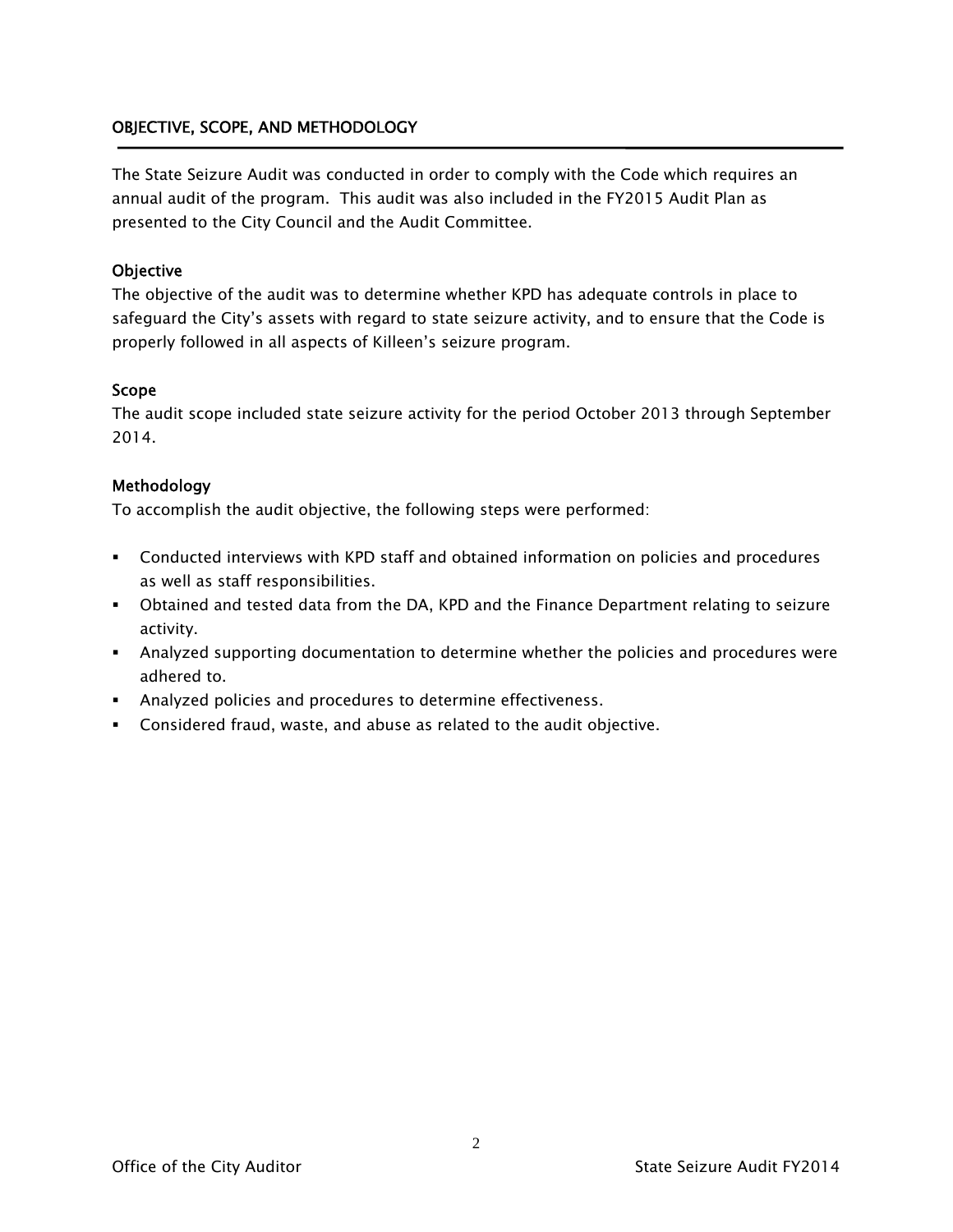#### OBJECTIVE, SCOPE, AND METHODOLOGY

The State Seizure Audit was conducted in order to comply with the Code which requires an annual audit of the program. This audit was also included in the FY2015 Audit Plan as presented to the City Council and the Audit Committee.

#### **Objective**

The objective of the audit was to determine whether KPD has adequate controls in place to safeguard the City's assets with regard to state seizure activity, and to ensure that the Code is properly followed in all aspects of Killeen's seizure program.

#### Scope

The audit scope included state seizure activity for the period October 2013 through September 2014.

#### Methodology

To accomplish the audit objective, the following steps were performed:

- Conducted interviews with KPD staff and obtained information on policies and procedures as well as staff responsibilities.
- Obtained and tested data from the DA, KPD and the Finance Department relating to seizure activity.
- Analyzed supporting documentation to determine whether the policies and procedures were adhered to.
- Analyzed policies and procedures to determine effectiveness.
- Considered fraud, waste, and abuse as related to the audit objective.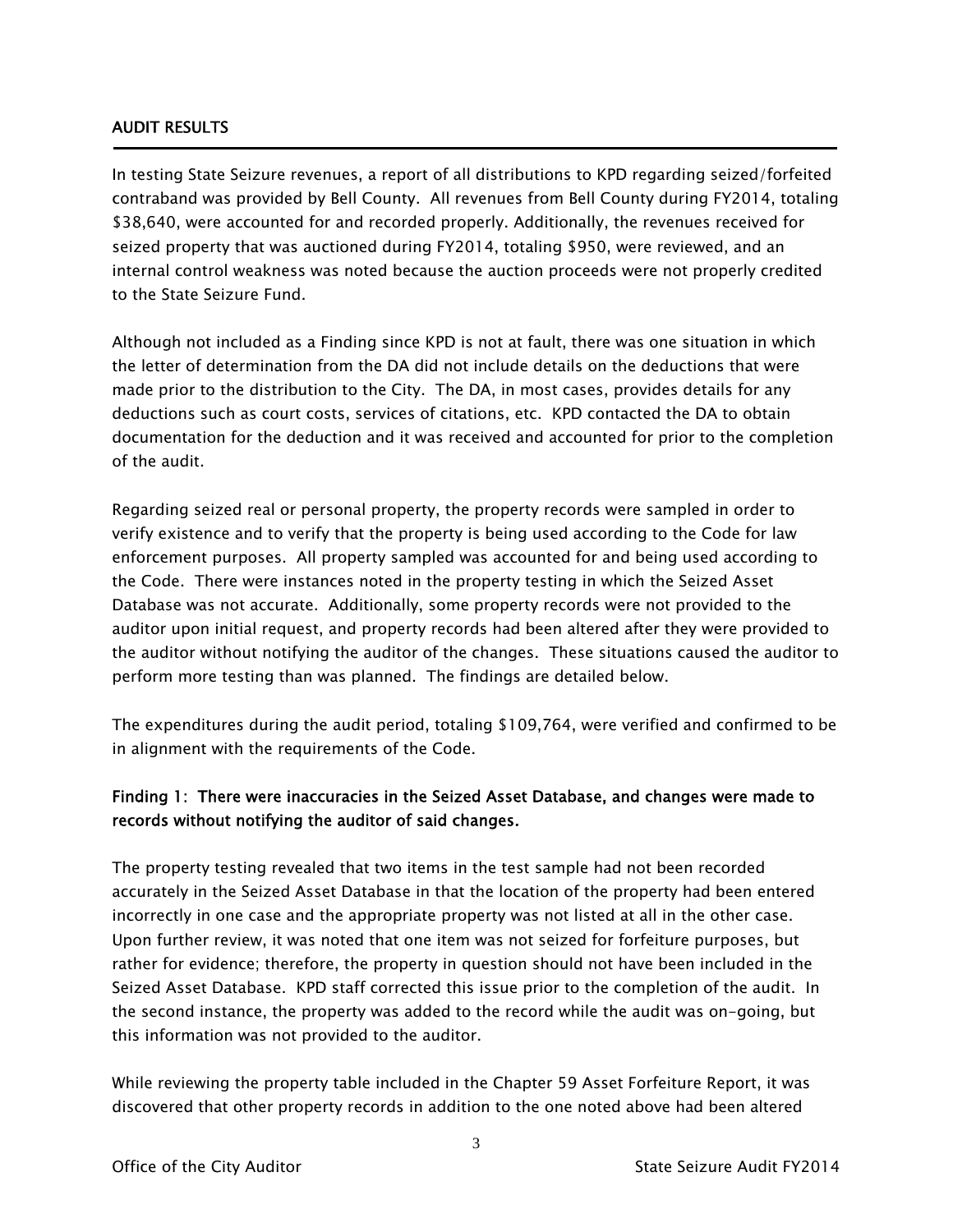#### AUDIT RESULTS

Ī

In testing State Seizure revenues, a report of all distributions to KPD regarding seized/forfeited contraband was provided by Bell County. All revenues from Bell County during FY2014, totaling \$38,640, were accounted for and recorded properly. Additionally, the revenues received for seized property that was auctioned during FY2014, totaling \$950, were reviewed, and an internal control weakness was noted because the auction proceeds were not properly credited to the State Seizure Fund.

Although not included as a Finding since KPD is not at fault, there was one situation in which the letter of determination from the DA did not include details on the deductions that were made prior to the distribution to the City. The DA, in most cases, provides details for any deductions such as court costs, services of citations, etc. KPD contacted the DA to obtain documentation for the deduction and it was received and accounted for prior to the completion of the audit.

Regarding seized real or personal property, the property records were sampled in order to verify existence and to verify that the property is being used according to the Code for law enforcement purposes. All property sampled was accounted for and being used according to the Code. There were instances noted in the property testing in which the Seized Asset Database was not accurate. Additionally, some property records were not provided to the auditor upon initial request, and property records had been altered after they were provided to the auditor without notifying the auditor of the changes. These situations caused the auditor to perform more testing than was planned. The findings are detailed below.

The expenditures during the audit period, totaling \$109,764, were verified and confirmed to be in alignment with the requirements of the Code.

### Finding 1: There were inaccuracies in the Seized Asset Database, and changes were made to records without notifying the auditor of said changes.

The property testing revealed that two items in the test sample had not been recorded accurately in the Seized Asset Database in that the location of the property had been entered incorrectly in one case and the appropriate property was not listed at all in the other case. Upon further review, it was noted that one item was not seized for forfeiture purposes, but rather for evidence; therefore, the property in question should not have been included in the Seized Asset Database. KPD staff corrected this issue prior to the completion of the audit. In the second instance, the property was added to the record while the audit was on-going, but this information was not provided to the auditor.

While reviewing the property table included in the Chapter 59 Asset Forfeiture Report, it was discovered that other property records in addition to the one noted above had been altered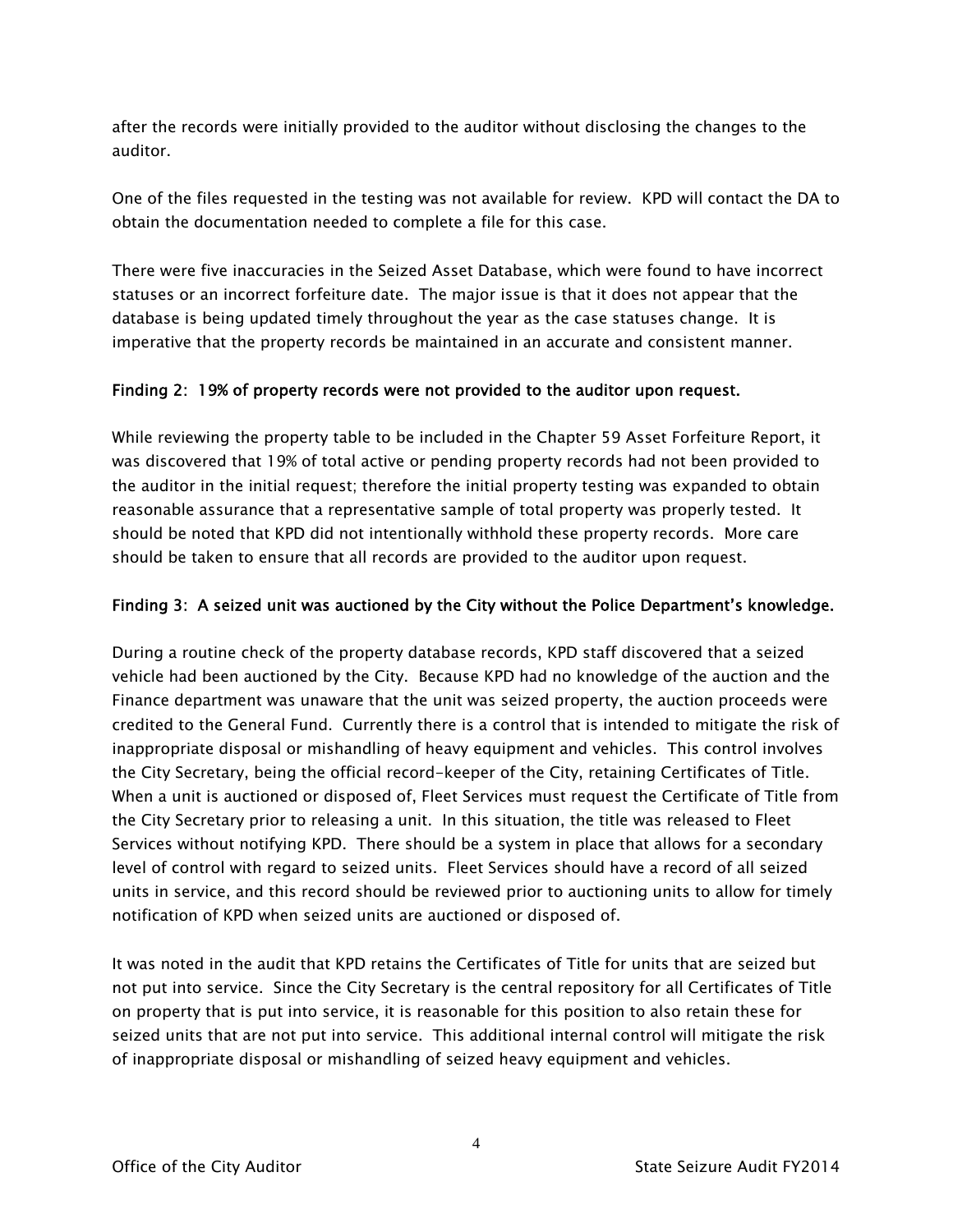after the records were initially provided to the auditor without disclosing the changes to the auditor.

One of the files requested in the testing was not available for review. KPD will contact the DA to obtain the documentation needed to complete a file for this case.

There were five inaccuracies in the Seized Asset Database, which were found to have incorrect statuses or an incorrect forfeiture date. The major issue is that it does not appear that the database is being updated timely throughout the year as the case statuses change. It is imperative that the property records be maintained in an accurate and consistent manner.

#### Finding 2: 19% of property records were not provided to the auditor upon request.

While reviewing the property table to be included in the Chapter 59 Asset Forfeiture Report, it was discovered that 19% of total active or pending property records had not been provided to the auditor in the initial request; therefore the initial property testing was expanded to obtain reasonable assurance that a representative sample of total property was properly tested. It should be noted that KPD did not intentionally withhold these property records. More care should be taken to ensure that all records are provided to the auditor upon request.

#### Finding 3: A seized unit was auctioned by the City without the Police Department's knowledge.

During a routine check of the property database records, KPD staff discovered that a seized vehicle had been auctioned by the City. Because KPD had no knowledge of the auction and the Finance department was unaware that the unit was seized property, the auction proceeds were credited to the General Fund. Currently there is a control that is intended to mitigate the risk of inappropriate disposal or mishandling of heavy equipment and vehicles. This control involves the City Secretary, being the official record-keeper of the City, retaining Certificates of Title. When a unit is auctioned or disposed of, Fleet Services must request the Certificate of Title from the City Secretary prior to releasing a unit. In this situation, the title was released to Fleet Services without notifying KPD. There should be a system in place that allows for a secondary level of control with regard to seized units. Fleet Services should have a record of all seized units in service, and this record should be reviewed prior to auctioning units to allow for timely notification of KPD when seized units are auctioned or disposed of.

It was noted in the audit that KPD retains the Certificates of Title for units that are seized but not put into service. Since the City Secretary is the central repository for all Certificates of Title on property that is put into service, it is reasonable for this position to also retain these for seized units that are not put into service. This additional internal control will mitigate the risk of inappropriate disposal or mishandling of seized heavy equipment and vehicles.

4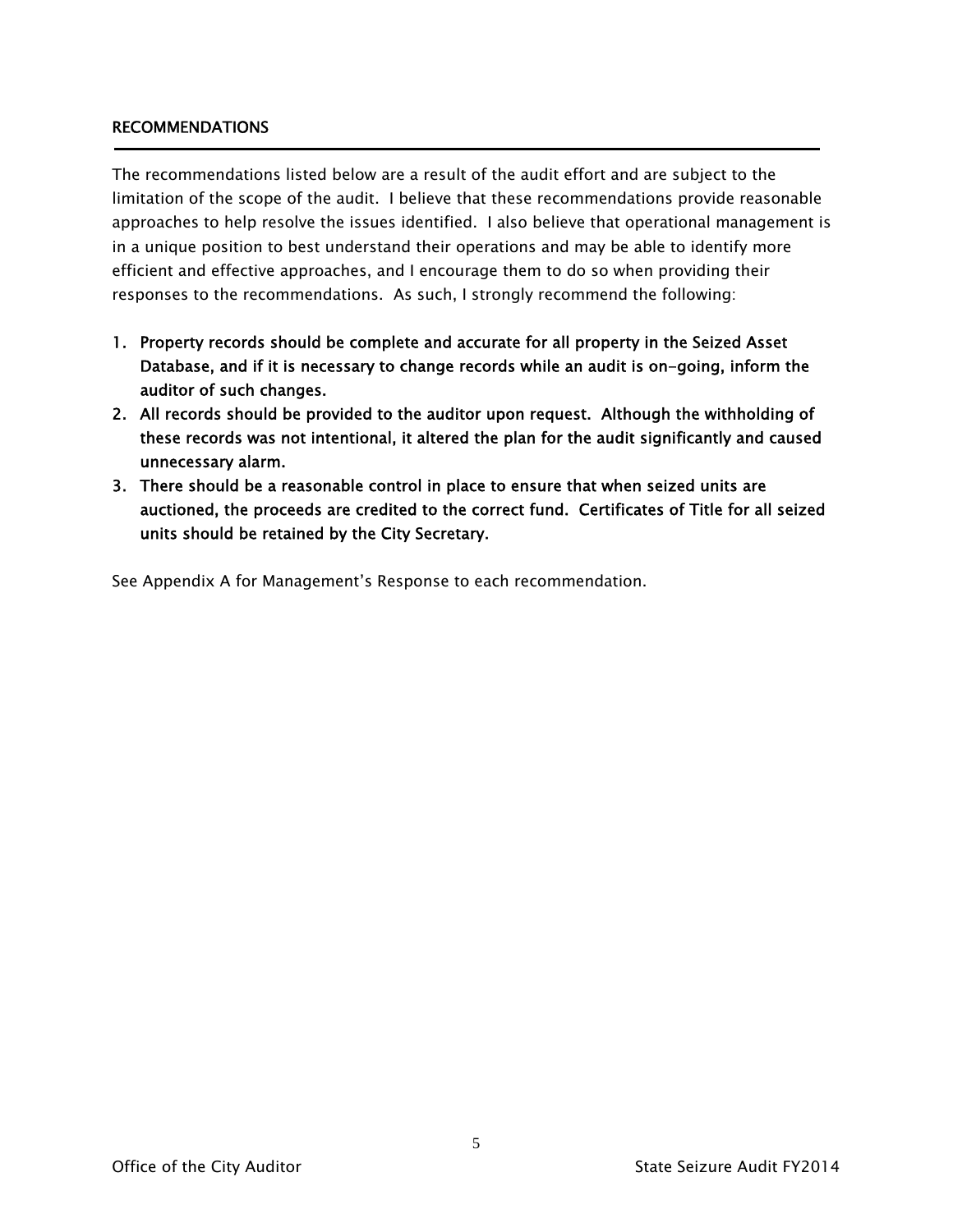#### RECOMMENDATIONS

The recommendations listed below are a result of the audit effort and are subject to the limitation of the scope of the audit. I believe that these recommendations provide reasonable approaches to help resolve the issues identified. I also believe that operational management is in a unique position to best understand their operations and may be able to identify more efficient and effective approaches, and I encourage them to do so when providing their responses to the recommendations. As such, I strongly recommend the following:

- 1. Property records should be complete and accurate for all property in the Seized Asset Database, and if it is necessary to change records while an audit is on-going, inform the auditor of such changes.
- 2. All records should be provided to the auditor upon request. Although the withholding of these records was not intentional, it altered the plan for the audit significantly and caused unnecessary alarm.
- 3. There should be a reasonable control in place to ensure that when seized units are auctioned, the proceeds are credited to the correct fund. Certificates of Title for all seized units should be retained by the City Secretary.

See Appendix A for Management's Response to each recommendation.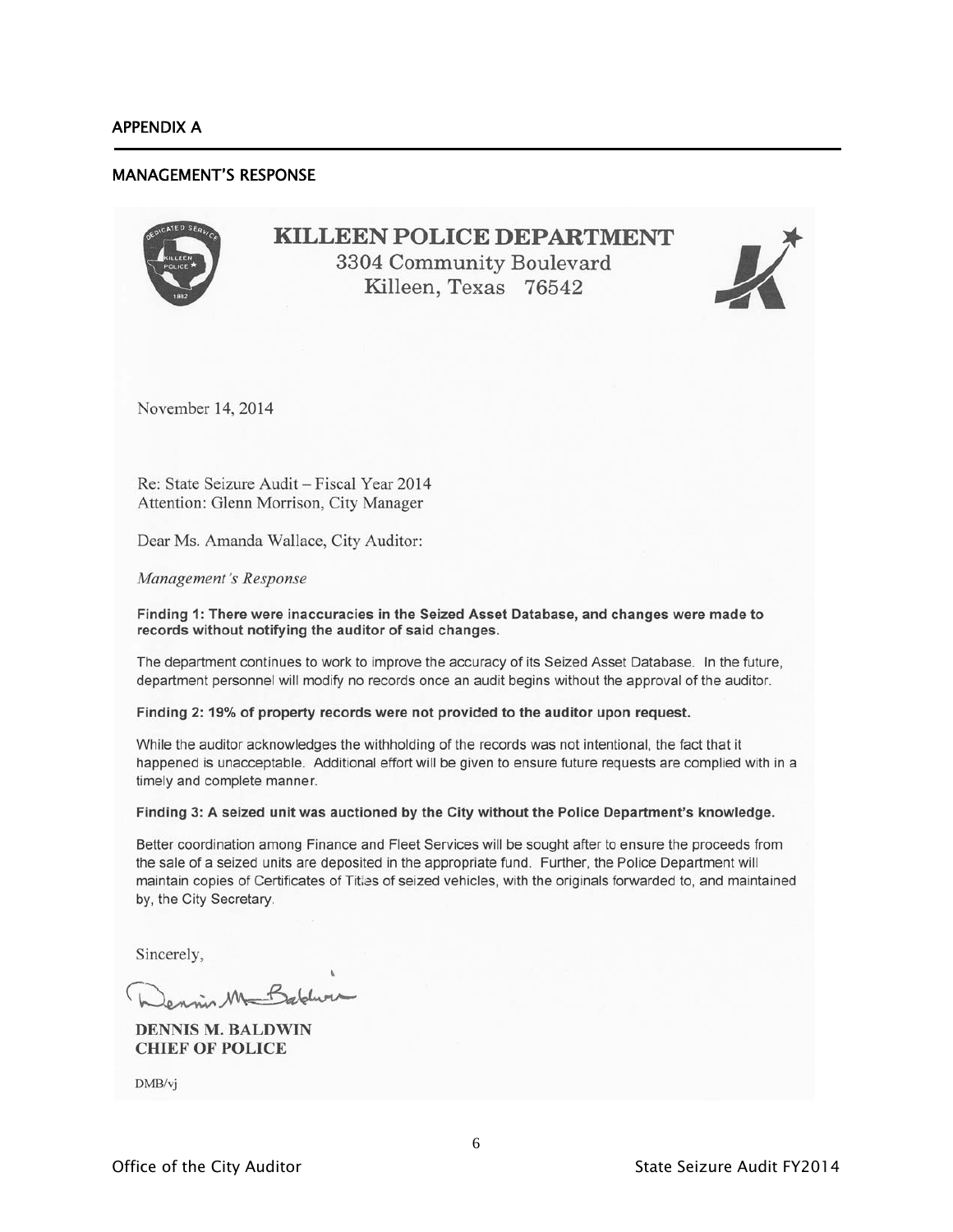j

#### MANAGEMENT'S RESPONSE

## **KILLEEN POLICE DEPARTMENT** 3304 Community Boulevard Killeen, Texas 76542



November 14, 2014

Re: State Seizure Audit - Fiscal Year 2014 Attention: Glenn Morrison, City Manager

Dear Ms. Amanda Wallace, City Auditor:

Management's Response

Finding 1: There were inaccuracies in the Seized Asset Database, and changes were made to records without notifying the auditor of said changes.

The department continues to work to improve the accuracy of its Seized Asset Database. In the future, department personnel will modify no records once an audit begins without the approval of the auditor.

Finding 2: 19% of property records were not provided to the auditor upon request.

While the auditor acknowledges the withholding of the records was not intentional, the fact that it happened is unacceptable. Additional effort will be given to ensure future requests are complied with in a timely and complete manner.

#### Finding 3: A seized unit was auctioned by the City without the Police Department's knowledge.

Better coordination among Finance and Fleet Services will be sought after to ensure the proceeds from the sale of a seized units are deposited in the appropriate fund. Further, the Police Department will maintain copies of Certificates of Titles of seized vehicles, with the originals forwarded to, and maintained by, the City Secretary.

Sincerely,

ennis M Babbur

**DENNIS M. BALDWIN CHIEF OF POLICE** 

DMB/vj